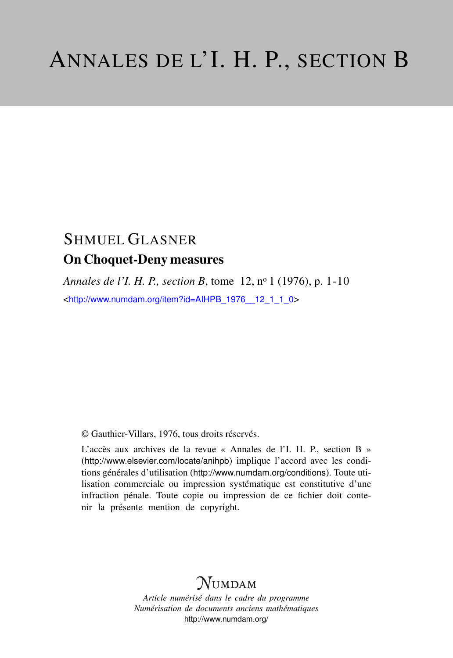# SHMUEL GLASNER On Choquet-Deny measures

*Annales de l'I. H. P., section B*, tome 12, n<sup>o</sup> 1 (1976), p. 1-10 <[http://www.numdam.org/item?id=AIHPB\\_1976\\_\\_12\\_1\\_1\\_0](http://www.numdam.org/item?id=AIHPB_1976__12_1_1_0)>

© Gauthier-Villars, 1976, tous droits réservés.

L'accès aux archives de la revue « Annales de l'I. H. P., section B » (<http://www.elsevier.com/locate/anihpb>) implique l'accord avec les conditions générales d'utilisation (<http://www.numdam.org/conditions>). Toute utilisation commerciale ou impression systématique est constitutive d'une infraction pénale. Toute copie ou impression de ce fichier doit contenir la présente mention de copyright.

# **NUMDAM**

*Article numérisé dans le cadre du programme Numérisation de documents anciens mathématiques* <http://www.numdam.org/>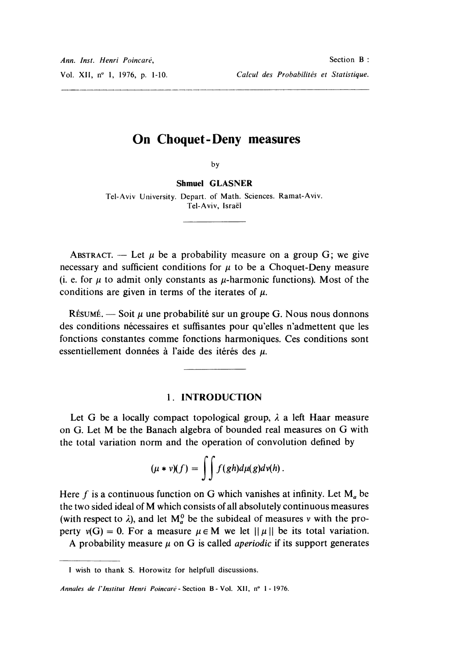## On Choquet-Deny measures

by

Shmuel GLASNER Tel-Aviv University. Depart. of Math. Sciences. Ramat-Aviv. Tel-Aviv, Israel

ABSTRACT. - Let  $\mu$  be a probability measure on a group G; we give necessary and sufficient conditions for  $\mu$  to be a Choquet-Deny measure (i. e. for  $\mu$  to admit only constants as  $\mu$ -harmonic functions). Most of the conditions are given in terms of the iterates of  $\mu$ .

RÉSUMÉ. — Soit  $\mu$  une probabilité sur un groupe G. Nous nous donnons des conditions nécessaires et suffisantes pour qu'elles n'admettent que les fonctions constantes comme fonctions harmoniques. Ces conditions sont essentiellement données à l'aide des itérés des  $\mu$ .

#### 1. INTRODUCTION

Let G be a locally compact topological group,  $\lambda$  a left Haar measure on G. Let M be the Banach algebra of bounded real measures on G with the total variation norm and the operation of convolution defined by

$$
(\mu * \nu)(f) = \int \int f(gh) d\mu(g) d\nu(h).
$$

Here f is a continuous function on G which vanishes at infinity. Let  $M_a$  be the two sided ideal of M which consists of all absolutely continuous measures (with respect to  $\lambda$ ), and let  $M_a^0$  be the subideal of measures v with the property  $v(G) = 0$ . For a measure  $\mu \in M$  we let  $||\mu||$  be its total variation.

A probability measure  $\mu$  on G is called *aperiodic* if its support generates

I wish to thank S. Horowitz for helpfull discussions.

Annales de l'Institut Henri Poincaré - Section B - Vol. XII, nº 1 - 1976.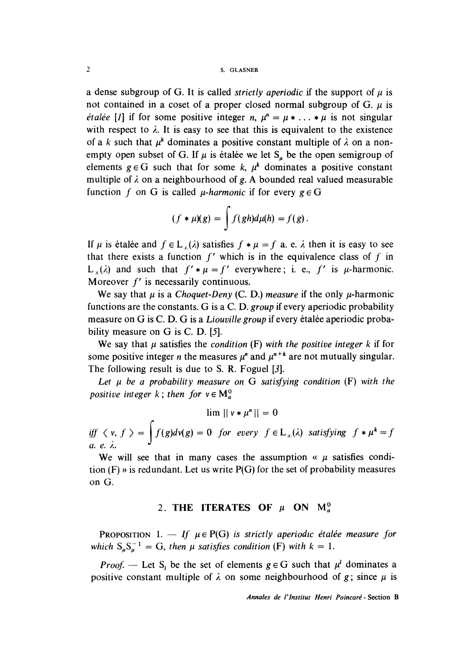#### 2 S. GLASNER

a dense subgroup of G. It is called *strictly aperiodic* if the support of  $\mu$  is not contained in a coset of a proper closed normal subgroup of  $G$ .  $\mu$  is *étalée* [*I*] if for some positive integer *n*,  $\mu^n = \mu * \ldots * \mu$  is not singular with respect to  $\lambda$ . It is easy to see that this is equivalent to the existence of a k such that  $\mu^k$  dominates a positive constant multiple of  $\lambda$  on a nonempty open subset of G. If  $\mu$  is étalée we let S<sub>n</sub> be the open semigroup of elements  $g \in G$  such that for some k,  $\mu^k$  dominates a positive constant multiple of  $\lambda$  on a neighbourhood of g. A bounded real valued measurable function f on G is called *u*-harmonic if for every  $g \in G$ 

$$
(f * \mu)(g) = \int f(gh)d\mu(h) = f(g).
$$

If  $\mu$  is étalée and  $f \in L_{\nu}(\lambda)$  satisfies  $f * \mu = f$  a. e.  $\lambda$  then it is easy to see that there exists a function  $f'$  which is in the equivalence class of f in L  $(\lambda)$  and such that  $f' * \mu = f'$  everywhere; i. e., f' is  $\mu$ -harmonic. Moreover  $f'$  is necessarily continuous.

We say that  $\mu$  is a Choquet-Deny (C. D.) measure if the only  $\mu$ -harmonic functions are the constants. G is a C. D. group if every aperiodic probability measure on G is C. D. G is a *Liouville group* if every étalée aperiodic probability measure on G is C. D. [5].

We say that  $\mu$  satisfies the condition (F) with the positive integer k if for some positive integer *n* the measures  $\mu^n$  and  $\mu^{n+k}$  are not mutually singular. The following result is due to S. R. Foguel [3].

Let  $\mu$  be a probability measure on G satisfying condition (F) with the positive integer k; then for  $v \in M_a^0$ 

 $\lim ||v * \mu^n|| = 0$ <br>iff  $\langle v, f \rangle = \int f(g)dv(g) = 0$  for every  $f \in L_{\infty}(\lambda)$  satisfying  $f * \mu^k = f$ 

We will see that in many cases the assumption «  $\mu$  satisfies condition  $(F)$  » is redundant. Let us write  $P(G)$  for the set of probability measures on G.

### 2. THE ITERATES OF  $\mu$  ON  $M_a^0$

PROPOSITION 1. - If  $\mu \in P(G)$  is strictly aperiodic étalée measure for which  $S_{\mu} S_{\mu}^{-1} = G$ , then  $\mu$  satisfies condition (F) with  $k = 1$ .

*Proof.* — Let S<sub>l</sub> be the set of elements  $g \in G$  such that  $\mu^l$  dominates a positive constant multiple of  $\lambda$  on some neighbourhood of g; since  $\mu$  is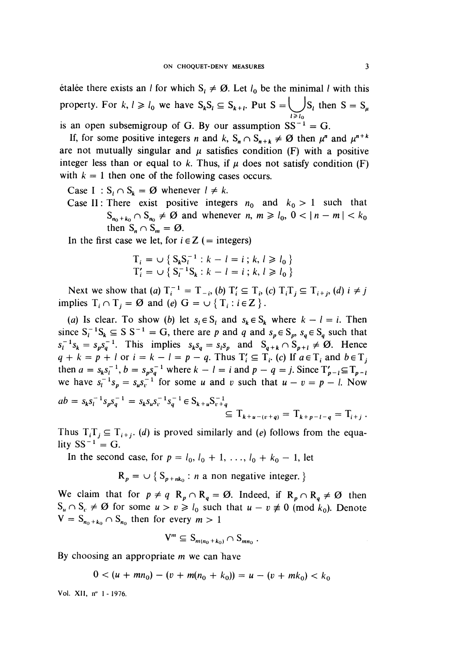etalee there exists an *l* for which  $S_i \neq \emptyset$ . Let  $l_0$  be the minimal *l* with this property. For  $k, l \ge l_0$  we have  $S_k S_l \subseteq S_{k+l}$ . Put  $S = \bigcup_{l \ge l_0} S_l$  then  $S = S_{\mu}$ is an open subsemigroup of G. By our assumption  $SS^{-1} = G$ .

If, for some positive integers n and k,  $S_n \cap S_{n+k} \neq \emptyset$  then  $\mu^n$  and  $\mu^{n+k}$ are not mutually singular and  $\mu$  satisfies condition (F) with a positive integer less than or equal to k. Thus, if  $\mu$  does not satisfy condition (F) with  $k = 1$  then one of the following cases occurs.

- Case I :  $S_i \cap S_k = \emptyset$  whenever  $l \neq k$ .
- Case II: There exist positive integers  $n_0$  and  $k_0 > 1$  such that  $S_{n_0+k_0} \cap S_{n_0} \neq \emptyset$  and whenever  $n, m \geq l_0, 0 < |n-m| < k_0$ then  $S_n \cap S_m = \emptyset$ .

In the first case we let, for  $i \in Z$  (= integers)

$$
T_i = \cup \{ S_k S_l^{-1} : k - l = i ; k, l \ge l_0 \}
$$
  

$$
T'_i = \cup \{ S_l^{-1} S_k : k - l = i ; k, l \ge l_0 \}
$$

Next we show that (a)  $T_i^{-1} = T_{-i}$ , (b)  $T_i \subseteq T_{i}$ , (c)  $T_i T_i \subseteq T_{i+i}$ , (d)  $i \neq j$ implies  $T_i \cap T_j = \emptyset$  and (e)  $G = \bigcup \{ T_i : i \in \mathbb{Z} \}$ .

(a) Is clear. To show (b) let  $s_i \in S_i$  and  $s_k \in S_k$  where  $k - i = i$ . Then since  $S_l^{-1}S_k \subseteq S S^{-1} = G$ , there are p and q and  $s_p \in S_p$ ,  $s_q \in S_q$  such that  $s_l^{-1} s_k = s_p s_q^{-1}$ . This implies  $s_k s_q = s_l s_p$  and  $S_{q+k} \cap S_{p+l} \neq \emptyset$ . Hence  $q + k = p + l$  or  $i = k - l = p - q$ . Thus  $T'_i \subseteq T_i$ . (c) If  $a \in T_i$  and  $b \in T_j$ then  $a = s_k s_l^{-1}$ ,  $b = s_p s_q^{-1}$  where  $k - l = i$  and  $p - q = j$ . Since  $T'_{p-1} \subseteq T_{p-1}$ we have  $s_i^{-1} s_n = s_u s_i^{-1}$  for some u and v such that  $u - v = p - l$ . Now

$$
ab = s_k s_l^{-1} s_p s_q^{-1} = s_k s_u s_v^{-1} s_q^{-1} \in S_{k+u} S_{v+q}^{-1}
$$
  
\n
$$
\subseteq T_{k+u-(v+q)} = T_{k+p-l-q} = T_{i+j}.
$$

Thus  $T_i$ ,  $T_j \subseteq T_{i+j}$  (d) is proved similarly and (e) follows from the equality  $SS^{-1} = G$ .

In the second case, for  $p = l_0, l_0 + 1, \ldots, l_0 + k_0 - 1$ , let

$$
R_p = \cup \{ S_{p+nk_0} : n \text{ a non negative integer.} \}
$$

We claim that for  $p \neq q$   $R_p \cap R_q = \emptyset$ . Indeed, if  $R_p \cap R_q \neq \emptyset$  then  $S_u \cap S_v \neq \emptyset$  for some  $u > v \ge l_0$  such that  $u - v \neq 0$  (mod  $k_0$ ). Denote  $V = S_{n_0 + k_0} \cap S_{n_0}$  then for every  $m > 1$ 

$$
V^m \subseteq S_{m(n_0+k_0)} \cap S_{mn_0} .
$$

By choosing an appropriate *m* we can have

$$
0 < (u + mn_0) - (v + m(n_0 + k_0)) = u - (v + mk_0) < k_0
$$

Vol. XII, n" 1 - 1976.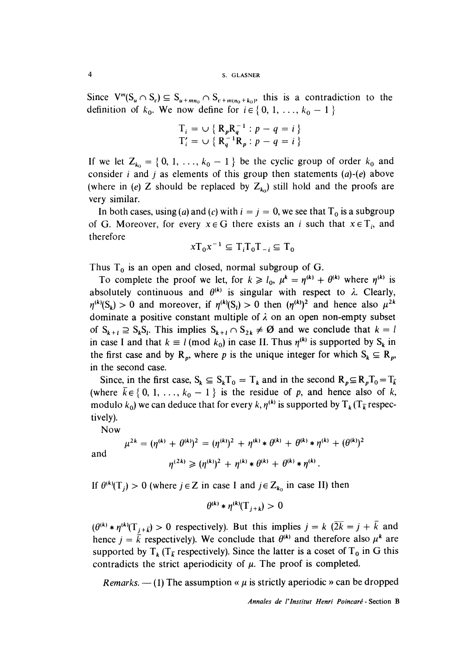Since  $V^m(S_u \cap S_c) \subseteq S_{u + m n_0} \cap S_{v + m(n_0 + k_0)}$ , this is a contradiction to the definition of  $k_0$ . We now define for  $i \in \{0, 1, ..., k_0 - 1\}$ 

$$
T_i = \cup \{ R_p R_q^{-1} : p - q = i \}
$$
  

$$
T'_i = \cup \{ R_q^{-1} R_p : p - q = i \}
$$

If we let  $Z_{k_0} = \{0, 1, \ldots, k_0 - 1\}$  be the cyclic group of order  $k_0$  and consider *i* and *j* as elements of this group then statements  $(a)-(e)$  above (where in (e) Z should be replaced by  $Z_{k_0}$ ) still hold and the proofs are very similar.

In both cases, using (a) and (c) with  $i = j = 0$ , we see that  $T_0$  is a subgroup of G. Moreover, for every  $x \in G$  there exists an i such that  $x \in T_i$ , and therefore

$$
xT_0x^{-1} \subseteq T_iT_0T_{-i} \subseteq T_0
$$

Thus  $T_0$  is an open and closed, normal subgroup of G.

To complete the proof we let, for  $k \ge l_0$ ,  $\mu^k = \eta^{(k)} + \theta^{(k)}$  where  $\eta^{(k)}$  is absolutely continuous and  $\theta^{(k)}$  is singular with respect to  $\lambda$ . Clearly,  $\eta^{(k)}(S_k) > 0$  and moreover, if  $\eta^{(k)}(S_l) > 0$  then  $(\eta^{(k)})^2$  and hence also  $\mu^{2k}$ dominate a positive constant multiple of  $\lambda$  on an open non-empty subset of  $S_{k+l} \supseteq S_k S_l$ . This implies  $S_{k+l} \cap S_{2k} \neq \emptyset$  and we conclude that  $k = l$ in case I and that  $k \equiv l \pmod{k_0}$  in case II. Thus  $\eta^{(k)}$  is supported by S<sub>k</sub> in the first case and by  $R_p$ , where p is the unique integer for which  $S_k \subseteq R_p$ , in the second case.

Since, in the first case,  $S_k \subseteq S_kT_0 = T_k$  and in the second  $R_p \subseteq R_pT_0 = T_{\bar{k}}$ (where  $\bar{k} \in \{0, 1, \ldots, k_0 - 1\}$  is the residue of p, and hence also of k, modulo  $k_0$ ) we can deduce that for every  $k, \eta^{(k)}$  is supported by  $T_k (T_{\overline{k}}$  respectively).

Now

$$
\mu^{2k} = (\eta^{(k)} + \theta^{(k)})^2 = (\eta^{(k)})^2 + \eta^{(k)} * \theta^{(k)} + \theta^{(k)} * \eta^{(k)} + (\theta^{(k)})^2
$$

$$
\eta^{(2k)} \geq (\eta^{(k)})^2 + \eta^{(k)} * \theta^{(k)} + \theta^{(k)} * \eta^{(k)}.
$$

and

If  $\theta^{(k)}(\mathcal{T}_i) > 0$  (where  $j \in \mathbb{Z}$  in case I and  $j \in \mathbb{Z}_{k_0}$  in case II) then

$$
\theta^{(k)} * \eta^{(k)}(\mathbf{T}_{i+k}) > 0
$$

 $(\theta^{(k)} * \eta^{(k)}(\mathcal{T}_{i+\bar{k}}) > 0$  respectively). But this implies  $j = k$   $(\overline{2k} = j + \overline{k}$  and hence  $j = \overline{k}$  respectively). We conclude that  $\theta^{(k)}$  and therefore also  $\mu^k$  are supported by  $T_k$  ( $T_{\overline{k}}$  respectively). Since the latter is a coset of  $T_0$  in G this contradicts the strict aperiodicity of  $\mu$ . The proof is completed.

Remarks.  $- (1)$  The assumption «  $\mu$  is strictly aperiodic » can be dropped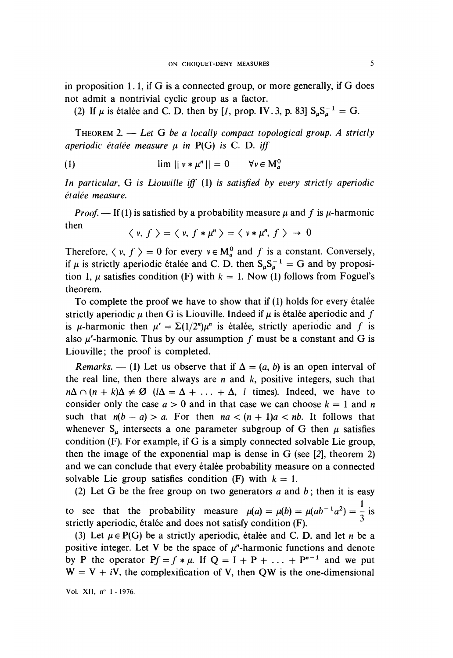in proposition 1. l, if G is a connected group, or more generally, if G does not admit a nontrivial cyclic group as a factor.

(2) If  $\mu$  is étalée and C. D. then by [*l*, prop. IV. 3, p. 83]  $S_nS_n^{-1} = G$ .

THEOREM 2.  $-$  Let G be a locally compact topological group. A strictly aperiodic étalée measure  $\mu$  in P(G) is C. D. iff

$$
\text{(1)} \quad \lim ||v * \mu^n|| = 0 \quad \forall v \in M^0
$$

In particular, G is Liouville iff (1) is satisfied by every strictly aperiodic étalée measure.

*Proof.* — If (1) is satisfied by a probability measure  $\mu$  and f is  $\mu$ -harmonic then

$$
\langle v, f \rangle = \langle v, f * \mu^n \rangle = \langle v * \mu^n, f \rangle \rightarrow 0
$$

Therefore,  $\langle v, f \rangle = 0$  for every  $v \in M_a^0$  and f is a constant. Conversely, if  $\mu$  is strictly aperiodic étalée and C. D. then  $S_u S_u^{-1} = G$  and by proposition 1,  $\mu$  satisfies condition (F) with  $k = 1$ . Now (1) follows from Foguel's theorem.

To complete the proof we have to show that if  $(1)$  holds for every étalee strictly aperiodic  $\mu$  then G is Liouville. Indeed if  $\mu$  is étalee aperiodic and f is  $\mu$ -harmonic then  $\mu' = \Sigma(1/2^n)\mu^n$  is étalée, strictly aperiodic and f is also  $\mu$ -harmonic. Thus by our assumption f must be a constant and G is Liouville; the proof is completed.

Remarks.  $- (1)$  Let us observe that if  $\Delta = (a, b)$  is an open interval of the real line, then there always are  $n$  and  $k$ , positive integers, such that  $n\Delta \cap (n + k)\Delta \neq \emptyset$   $(l\Delta = \Delta + \ldots + \Delta, l$  times). Indeed, we have to consider only the case  $a > 0$  and in that case we can choose  $k = 1$  and n such that  $n(b - a) > a$ . For then  $na < (n + 1)a < nb$ . It follows that whenever  $S_{\mu}$  intersects a one parameter subgroup of G then  $\mu$  satisfies condition (F). For example, if G is a simply connected solvable Lie group, then the image of the exponential map is dense in G (see [2], theorem 2) and we can conclude that every étalée probability measure on a connected solvable Lie group satisfies condition (F) with  $k = 1$ .

(2) Let G be the free group on two generators  $a$  and  $b$ ; then it is easy to see that the probability measure  $\mu(a) = \mu(b) = \mu(ab^{-1}a^2) = \frac{1}{2}$  is strictly aperiodic, étalée and does not satisfy condition (F).

(3) Let  $\mu \in P(G)$  be a strictly aperiodic, étalée and C. D. and let n be a positive integer. Let V be the space of  $\mu$ <sup>n</sup>-harmonic functions and denote by P the operator  $Pf = f * \mu$ . If  $Q = I + P + ... + P^{n-1}$  and we put  $W = V + iV$ , the complexification of V, then QW is the one-dimensional

Vol. XII, nº 1 - 1976.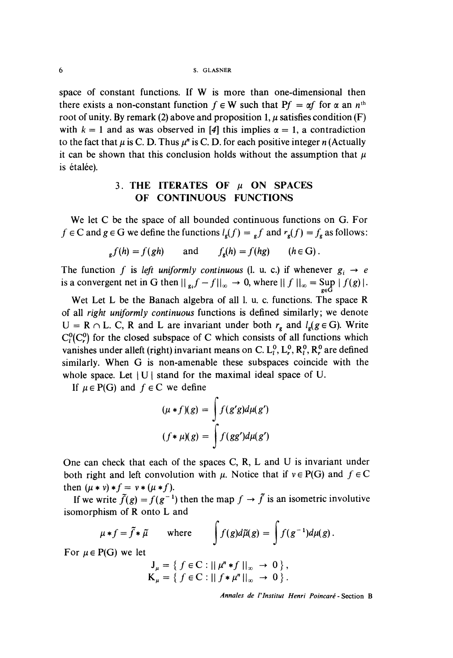6 S. GLASNER

space of constant functions. If W is more than one-dimensional then there exists a non-constant function  $f \in W$  such that  $Pf = \alpha f$  for  $\alpha$  an  $n^{\text{th}}$ root of unity. By remark (2) above and proposition 1,  $\mu$  satisfies condition (F) with  $k = 1$  and as was observed in [4] this implies  $\alpha = 1$ , a contradiction to the fact that  $\mu$  is C. D. Thus  $\mu^n$  is C. D. for each positive integer n (Actually it can be shown that this conclusion holds without the assumption that  $\mu$ is étalée).

### 3. THE ITERATES OF  $\mu$  ON SPACES OF CONTINUOUS FUNCTIONS

We let C be the space of all bounded continuous functions on G. For  $f \in \mathbb{C}$  and  $g \in \mathbb{G}$  we define the functions  $l_g(f) = f_g f$  and  $r_g(f) = f_g$  as follows:

$$
f_{\mathbf{g}}f(h) = f(gh) \quad \text{and} \quad f_{\mathbf{g}}(h) = f(hg) \quad (h \in \mathbf{G})
$$

The function f is left uniformly continuous (l. u. c.) if whenever  $g_i \rightarrow e$ is a convergent net in G then  $||g_{\alpha}f - f||_{\infty} \to 0$ , where  $||f||_{\infty} = \sup_{g \in G} ||f||_{\infty}$ 

Wet Let L be the Banach algebra of all l. u. c. functions. The space R of all right uniformly continuous functions is defined similarly; we denote  $U = R \cap L$ . C, R and L are invariant under both  $r<sub>e</sub>$  and  $l<sub>e</sub>(g \in G)$ . Write  $C_i^0(C_r^0)$  for the closed subspace of C which consists of all functions which vanishes under alleft (right) invariant means on C.  $L_1^0$ ,  $L_r^0$ ,  $R_r^0$ ,  $R_r^0$  are defined similarly. When G is non-amenable these subspaces coincide with the whole space. Let  $|U|$  stand for the maximal ideal space of U.

If  $\mu \in P(G)$  and  $f \in C$  we define

$$
(\mu * f)(g) = \int f(g'g)d\mu(g')
$$
  

$$
(f * \mu)(g) = \int f(gg')d\mu(g')
$$

One can check that each of the spaces C, R, L and U is invariant under both right and left convolution with  $\mu$ . Notice that if  $v \in P(G)$  and  $f \in C$ then  $(\mu * \nu) * f = \nu * (\mu * f)$ .

If we write  $\tilde{f}(g) = f(g^{-1})$  then the map  $f \to \tilde{f}$  is an isometric involutive isomorphism of R onto L and

$$
\mu * f = \tilde{f} * \tilde{\mu}
$$
 where  $\int f(g)d\tilde{\mu}(g) = \int f(g^{-1})d\mu(g).$ 

For  $\mu \in P(G)$  we let

$$
J_{\mu} = \{ f \in C : || \mu^{n} * f ||_{\infty} \to 0 \},
$$
  
\n
$$
K_{\mu} = \{ f \in C : || f * \mu^{n} ||_{\infty} \to 0 \}.
$$

Annales de 1'Institut Henri Poincaré - Section B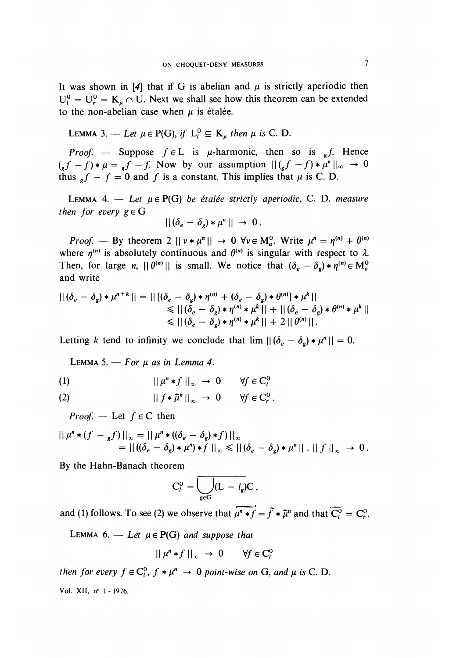It was shown in [4] that if G is abelian and  $\mu$  is strictly aperiodic then  $U_t^0 = U_r^0 = K_u \cap U$ . Next we shall see how this theorem can be extended to the non-abelian case when  $\mu$  is étalée.

LEMMA 3. — Let 
$$
\mu \in P(G)
$$
, if  $L_l^0 \subseteq K_\mu$  then  $\mu$  is C. D.

*Proof.* - Suppose  $f \in L$  is  $\mu$ -harmonic, then so is  $\epsilon$ . Hence  $(g f - f) * \mu = f - f$ . Now by our assumption  $|| (g f - f) * \mu^n ||_{\infty} \rightarrow 0$ thus  $f - f = 0$  and f is a constant. This implies that  $\mu$  is C. D.

LEMMA 4. - Let  $\mu \in P(G)$  be étalée strictly aperiodic, C. D. measure then for every  $g \in G$ 

$$
||(\delta_e - \delta_g) * \mu^n|| \rightarrow 0.
$$

*Proof.* — By theorem 2  $|| v * \mu^n || \rightarrow 0 \ \forall v \in M_\alpha^0$ . Write  $\mu^n = \eta^{(n)} + \theta^{(n)}$ where  $\eta^{(n)}$  is absolutely continuous and  $\theta^{(n)}$  is singular with respect to  $\lambda$ . Then, for large n,  $|| \theta^{(n)} ||$  is small. We notice that  $(\delta_e - \delta_g) * \eta^{(n)} \in M_a^0$ and write

$$
|| (\delta_e - \delta_g) * \mu^{n+k} || = || [ (\delta_e - \delta_g) * \eta^{(n)} + (\delta_e - \delta_g) * \theta^{(n)} ] * \mu^k ||
$$
  
\n
$$
\leq || (\delta_e - \delta_g) * \eta^{(n)} * \mu^k || + || (\delta_e - \delta_g) * \theta^{(n)} * \mu^k ||
$$
  
\n
$$
\leq || (\delta_e - \delta_g) * \eta^{(n)} * \mu^k || + 2 || \theta^{(n)} ||.
$$

Letting k tend to infinity we conclude that  $\lim ||(\delta_e - \delta_g) * \mu^n|| = 0$ .

LEMMA 5.  $-$  For  $\mu$  as in Lemma 4.

$$
(1) \t\t\t ||\mu^n * f||_{\infty} \to 0 \t\t \forall f \in C_l^0
$$

(2) 
$$
|| f * \tilde{\mu}^n ||_{\infty} \to 0 \quad \forall f \in C_r^0.
$$

*Proof.* — Let  $f \in C$  then

$$
|| \mu^{n} * (f - {}_{g}f)||_{\infty} = || \mu^{n} * ((\delta_{e} - \delta_{g}) * f)||_{\infty}
$$
  
=  $|| ((\delta_{e} - \delta_{g}) * \mu^{n}) * f||_{\infty} \leq || (\delta_{e} - \delta_{g}) * \mu^{n}|| \cdot || f||_{\infty} \rightarrow 0.$ 

By the Hahn-Banach theorem

$$
C_l^0 = \overline{\bigcup_{g \in G} (L - l_g) C},
$$

and (1) follows. To see (2) we observe that  $\overline{\mu'' * f} = \overline{f} * \overline{\mu''}$  and that  $\overline{C_i^0} = C_r^0$ .

LEMMA 6. - Let  $\mu \in P(G)$  and suppose that

$$
|| \mu^n * f ||_{\infty} \to 0 \qquad \forall f \in C_l^0
$$

then for every  $f \in C_l^0$ ,  $f * \mu^n \to 0$  point-wise on G, and  $\mu$  is C. D. Vol. XII, nº 1 - 1976.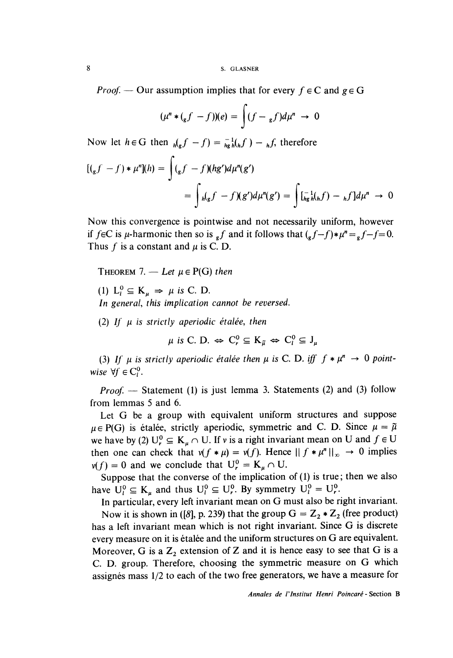*Proof.* — Our assumption implies that for every  $f \in C$  and  $g \in G$ 

$$
(\mu^n * ({}_{g}f - f))(e) = \int (f - {}_{g}f)d\mu^n \to 0
$$

Now let  $h \in G$  then  $h(g f - f) = \frac{1}{hg} h(h f) - h f$ , therefore

$$
[(g f - f) * \mu^{n}](h) = \int (g f - f)(hg')d\mu^{n}(g')
$$
  
= 
$$
\int h(gf - f)(g')d\mu^{n}(g') = \int [\bar{h}^{-1}_{g}h(f) - f f]d\mu^{n} \to 0
$$

Now this convergence is pointwise and not necessarily uniform, however if  $f \in C$  is  $\mu$ -harmonic then so is  $f$  and it follows that  $(g f - f) * \mu^n = f - f = 0$ . Thus f is a constant and  $\mu$  is C. D.

THEOREM 7. - Let  $\mu \in P(G)$  then

(1)  $L_i^0 \subseteq K_u \Rightarrow \mu$  is C. D.

In general, this implication cannot be reversed.

(2) If  $\mu$  is strictly aperiodic étalée, then

 $\mu$  is C. D.  $\Leftrightarrow$  C<sub>r</sub><sup>0</sup>  $\subseteq$  K<sub>a</sub> $\iff$  C<sub>l</sub><sup>0</sup>  $\subseteq$  J<sub>u</sub>

(3) If  $\mu$  is strictly aperiodic étalée then  $\mu$  is C. D. iff  $f * \mu^n \to 0$  pointwise  $\forall f \in C^0$ .

 $Proof.$  - Statement (1) is just lemma 3. Statements (2) and (3) follow from lemmas 5 and 6.

Let G be a group with equivalent uniform structures and suppose  $\mu \in P(G)$  is étalée, strictly aperiodic, symmetric and C. D. Since  $\mu = \tilde{\mu}$ we have by (2)  $U_r^0 \subseteq K_u \cap U$ . If v is a right invariant mean on U and  $f \in U$ then one can check that  $v(f * \mu) = v(f)$ . Hence  $|| f * \mu^n ||_{\infty} \rightarrow 0$  implies  $v(f) = 0$  and we conclude that  $U_r^0 = K_u \cap U$ .

Suppose that the converse of the implication of (1) is true; then we also have  $U_l^0 \subseteq K_u$  and thus  $U_l^0 \subseteq U_r^0$ . By symmetry  $U_l^0 = U_r^0$ .

In particular, every left invariant mean on G must also be right invariant. Now it is shown in ([8], p. 239) that the group  $G = Z_2 * Z_2$  (free product) has a left invariant mean which is not right invariant. Since G is discrete every measure on it is étalée and the uniform structures on  $G$  are equivalent. Moreover, G is a  $\mathbb{Z}_2$  extension of Z and it is hence easy to see that G is a C. D. group. Therefore, choosing the symmetric measure on G which assignés mass  $1/2$  to each of the two free generators, we have a measure for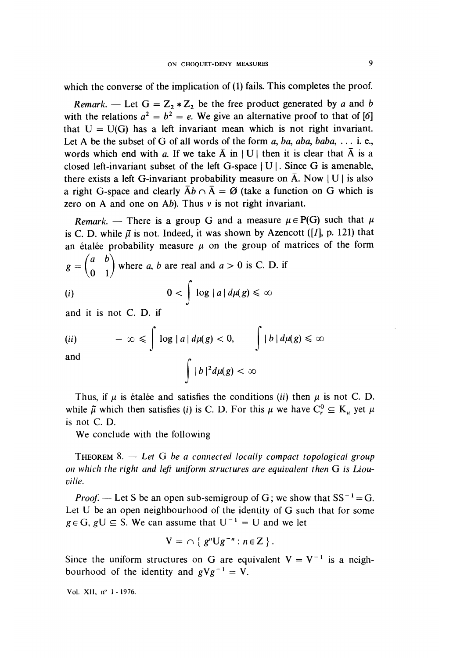which the converse of the implication of (1) fails. This completes the proof.

Remark. — Let  $G = Z_2 * Z_2$  be the free product generated by a and b with the relations  $a^2 = b^2 = e$ . We give an alternative proof to that of [6] that  $U = U(G)$  has a left invariant mean which is not right invariant. Let A be the subset of G of all words of the form a, ba, aba, baba,  $\dots$  i. e., words which end with a. If we take  $\overline{A}$  in | U | then it is clear that  $\overline{A}$  is a closed left-invariant subset of the left G-space  $|U|$ . Since G is amenable, there exists a left G-invariant probability measure on  $\overline{A}$ . Now | U | is also a right G-space and clearly  $\bar{A}b \cap \bar{A} = \emptyset$  (take a function on G which is zero on A and one on Ab). Thus v is not right invariant.

Remark. — There is a group G and a measure  $\mu \in P(G)$  such that  $\mu$ is C. D. while  $\tilde{\mu}$  is not. Indeed, it was shown by Azencott ([1], p. 121) that an étalée probability measure  $\mu$  on the group of matrices of the form

$$
g = \begin{pmatrix} a & b \\ 0 & 1 \end{pmatrix}
$$
 where *a*, *b* are real and *a* > 0 is C. D. if  
(*i*) 
$$
0 < \int \log |a| d\mu(g) \le \infty
$$

$$
\begin{array}{c}\n\ddots \\
\downarrow \\
\downarrow\n\end{array}
$$

and it is not C. D. if

$$
(ii) \qquad -\infty \leqslant \int \log|a| \, d\mu(g) < 0, \qquad \int |b| \, d\mu(g) \leqslant \infty
$$

and

$$
\int |b|^2 d\mu(g) < \infty
$$

Thus, if  $\mu$  is étalee and satisfies the conditions (ii) then  $\mu$  is not C. D. while  $\tilde{\mu}$  which then satisfies (i) is C. D. For this  $\mu$  we have  $C_r^0 \subseteq K_u$  yet  $\mu$ is not C. D.

We conclude with the following

THEOREM 8.  $-$  Let G be a connected locally compact topological group on which the right and left uniform structures are equivalent then G is Liouville.

*Proof.* — Let S be an open sub-semigroup of G; we show that  $SS^{-1} = G$ . Let U be an open neighbourhood of the identity of G such that for some  $g \in G$ ,  $g \cup \subseteq S$ . We can assume that  $U^{-1} = U$  and we let

$$
V = \cap \{ g^n \cup g^{-n} : n \in \mathbb{Z} \}.
$$

Since the uniform structures on G are equivalent  $V = V^{-1}$  is a neighbourhood of the identity and  $gVg^{-1} = V$ .

Vol. XII, n" 1 - 1976.